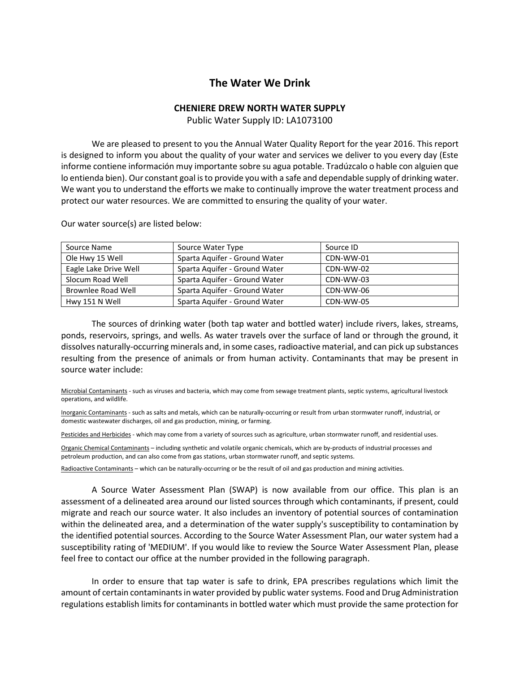## **The Water We Drink**

## **CHENIERE DREW NORTH WATER SUPPLY**

Public Water Supply ID: LA1073100

We are pleased to present to you the Annual Water Quality Report for the year 2016. This report is designed to inform you about the quality of your water and services we deliver to you every day (Este informe contiene información muy importante sobre su agua potable. Tradúzcalo o hable con alguien que lo entienda bien). Our constant goal is to provide you with a safe and dependable supply of drinking water. We want you to understand the efforts we make to continually improve the water treatment process and protect our water resources. We are committed to ensuring the quality of your water.

| Source Name           | Source Water Type             | Source ID |
|-----------------------|-------------------------------|-----------|
| Ole Hwy 15 Well       | Sparta Aquifer - Ground Water | CDN-WW-01 |
| Eagle Lake Drive Well | Sparta Aquifer - Ground Water | CDN-WW-02 |
| Slocum Road Well      | Sparta Aguifer - Ground Water | CDN-WW-03 |
| Brownlee Road Well    | Sparta Aquifer - Ground Water | CDN-WW-06 |
| Hwy 151 N Well        | Sparta Aguifer - Ground Water | CDN-WW-05 |

Our water source(s) are listed below:

The sources of drinking water (both tap water and bottled water) include rivers, lakes, streams, ponds, reservoirs, springs, and wells. As water travels over the surface of land or through the ground, it dissolves naturally-occurring minerals and, in some cases, radioactive material, and can pick up substances resulting from the presence of animals or from human activity. Contaminants that may be present in source water include:

Microbial Contaminants - such as viruses and bacteria, which may come from sewage treatment plants, septic systems, agricultural livestock operations, and wildlife.

Inorganic Contaminants - such as salts and metals, which can be naturally-occurring or result from urban stormwater runoff, industrial, or domestic wastewater discharges, oil and gas production, mining, or farming.

Pesticides and Herbicides - which may come from a variety of sources such as agriculture, urban stormwater runoff, and residential uses.

Organic Chemical Contaminants – including synthetic and volatile organic chemicals, which are by-products of industrial processes and petroleum production, and can also come from gas stations, urban stormwater runoff, and septic systems.

Radioactive Contaminants – which can be naturally-occurring or be the result of oil and gas production and mining activities.

A Source Water Assessment Plan (SWAP) is now available from our office. This plan is an assessment of a delineated area around our listed sources through which contaminants, if present, could migrate and reach our source water. It also includes an inventory of potential sources of contamination within the delineated area, and a determination of the water supply's susceptibility to contamination by the identified potential sources. According to the Source Water Assessment Plan, our water system had a susceptibility rating of 'MEDIUM'. If you would like to review the Source Water Assessment Plan, please feel free to contact our office at the number provided in the following paragraph.

In order to ensure that tap water is safe to drink, EPA prescribes regulations which limit the amount of certain contaminants in water provided by public water systems. Food and Drug Administration regulations establish limits for contaminants in bottled water which must provide the same protection for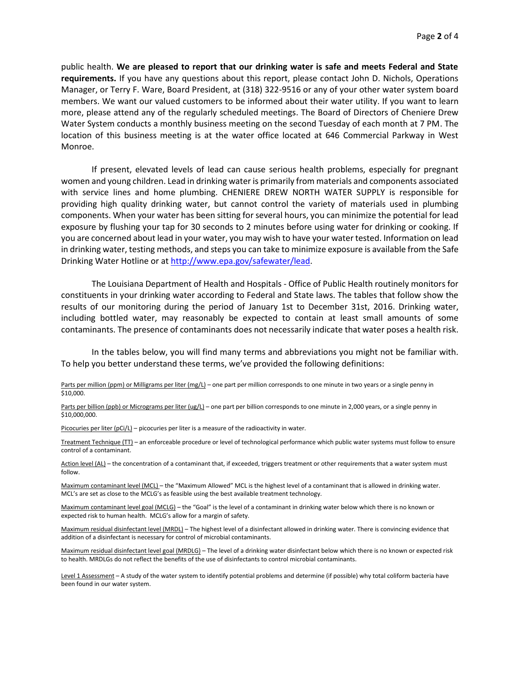public health. **We are pleased to report that our drinking water is safe and meets Federal and State requirements.** If you have any questions about this report, please contact John D. Nichols, Operations Manager, or Terry F. Ware, Board President, at (318) 322-9516 or any of your other water system board members. We want our valued customers to be informed about their water utility. If you want to learn more, please attend any of the regularly scheduled meetings. The Board of Directors of Cheniere Drew Water System conducts a monthly business meeting on the second Tuesday of each month at 7 PM. The location of this business meeting is at the water office located at 646 Commercial Parkway in West Monroe.

If present, elevated levels of lead can cause serious health problems, especially for pregnant women and young children. Lead in drinking water is primarily from materials and components associated with service lines and home plumbing. CHENIERE DREW NORTH WATER SUPPLY is responsible for providing high quality drinking water, but cannot control the variety of materials used in plumbing components. When your water has been sitting for several hours, you can minimize the potential for lead exposure by flushing your tap for 30 seconds to 2 minutes before using water for drinking or cooking. If you are concerned about lead in your water, you may wish to have your water tested. Information on lead in drinking water, testing methods, and steps you can take to minimize exposure is available from the Safe Drinking Water Hotline or at [http://www.epa.gov/safewater/lead.](http://www.epa.gov/safewater/lead)

The Louisiana Department of Health and Hospitals - Office of Public Health routinely monitors for constituents in your drinking water according to Federal and State laws. The tables that follow show the results of our monitoring during the period of January 1st to December 31st, 2016. Drinking water, including bottled water, may reasonably be expected to contain at least small amounts of some contaminants. The presence of contaminants does not necessarily indicate that water poses a health risk.

In the tables below, you will find many terms and abbreviations you might not be familiar with. To help you better understand these terms, we've provided the following definitions:

Parts per million (ppm) or Milligrams per liter (mg/L) – one part per million corresponds to one minute in two years or a single penny in \$10,000.

Parts per billion (ppb) or Micrograms per liter (ug/L) – one part per billion corresponds to one minute in 2,000 years, or a single penny in \$10,000,000.

Picocuries per liter (pCi/L) – picocuries per liter is a measure of the radioactivity in water.

Treatment Technique (TT) – an enforceable procedure or level of technological performance which public water systems must follow to ensure control of a contaminant.

Action level (AL) – the concentration of a contaminant that, if exceeded, triggers treatment or other requirements that a water system must follow.

Maximum contaminant level (MCL) – the "Maximum Allowed" MCL is the highest level of a contaminant that is allowed in drinking water. MCL's are set as close to the MCLG's as feasible using the best available treatment technology.

Maximum contaminant level goal (MCLG) – the "Goal" is the level of a contaminant in drinking water below which there is no known or expected risk to human health. MCLG's allow for a margin of safety.

Maximum residual disinfectant level (MRDL) – The highest level of a disinfectant allowed in drinking water. There is convincing evidence that addition of a disinfectant is necessary for control of microbial contaminants.

Maximum residual disinfectant level goal (MRDLG) – The level of a drinking water disinfectant below which there is no known or expected risk to health. MRDLGs do not reflect the benefits of the use of disinfectants to control microbial contaminants.

Level 1 Assessment - A study of the water system to identify potential problems and determine (if possible) why total coliform bacteria have been found in our water system.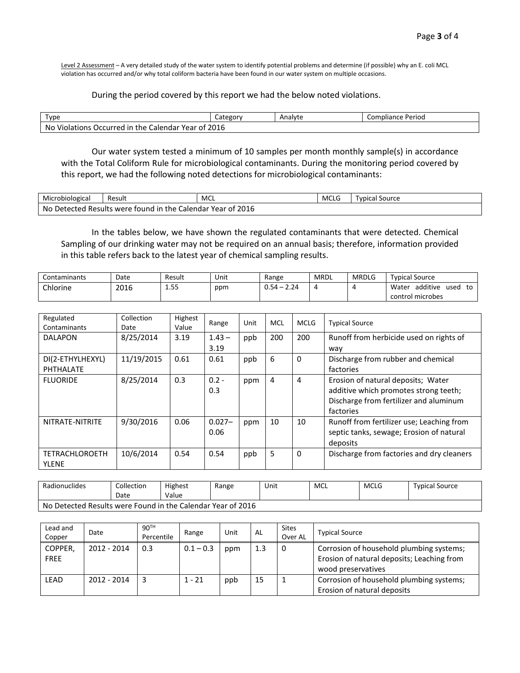Level 2 Assessment - A very detailed study of the water system to identify potential problems and determine (if possible) why an E. coli MCL violation has occurred and/or why total coliform bacteria have been found in our water system on multiple occasions.

## During the period covered by this report we had the below noted violations.

| Type                                                                              | Category | Analyte | Compliance Period |  |  |  |  |
|-----------------------------------------------------------------------------------|----------|---------|-------------------|--|--|--|--|
| $\cdots$<br>2016<br>No<br>Violations Occurred in the C ا<br>Calendar<br>' Year of |          |         |                   |  |  |  |  |

Our water system tested a minimum of 10 samples per month monthly sample(s) in accordance with the Total Coliform Rule for microbiological contaminants. During the monitoring period covered by this report, we had the following noted detections for microbiological contaminants:

| Microbiological | Result                                           | MCL | <b>MCLG</b> | l vbical<br>' Source |
|-----------------|--------------------------------------------------|-----|-------------|----------------------|
| No              | Detected Results were found in the C<br>Calendar |     |             |                      |

In the tables below, we have shown the regulated contaminants that were detected. Chemical Sampling of our drinking water may not be required on an annual basis; therefore, information provided in this table refers back to the latest year of chemical sampling results.

| Contaminants | Date | Result              | Unit | Range                                                               | MRDL | <b>MRDLG</b> | <b>Typical Source</b>           |
|--------------|------|---------------------|------|---------------------------------------------------------------------|------|--------------|---------------------------------|
| Chlorine     | 2016 | $- -$<br>--<br>ر ب⊥ | ppm  | 24<br>$\Omega$ 54 $-$ .<br>$\ddot{\phantom{1}}$<br><u></u><br>ັບ،ບາ |      |              | additive<br>Water<br>used<br>t٥ |
|              |      |                     |      |                                                                     |      |              | control microbes                |

| Regulated<br>Contaminants             | Collection<br>Date | Highest<br>Value | Range             | Unit | MCL | <b>MCLG</b> | <b>Typical Source</b>                                                                                                              |
|---------------------------------------|--------------------|------------------|-------------------|------|-----|-------------|------------------------------------------------------------------------------------------------------------------------------------|
| <b>DALAPON</b>                        | 8/25/2014          | 3.19             | $1.43 -$<br>3.19  | ppb  | 200 | 200         | Runoff from herbicide used on rights of                                                                                            |
| DI(2-ETHYLHEXYL)<br>PHTHALATE         | 11/19/2015         | 0.61             | 0.61              | ppb  | 6   | 0           | way<br>Discharge from rubber and chemical<br>factories                                                                             |
| <b>FLUORIDE</b>                       | 8/25/2014          | 0.3              | $0.2 -$<br>0.3    | ppm  | 4   | 4           | Erosion of natural deposits; Water<br>additive which promotes strong teeth;<br>Discharge from fertilizer and aluminum<br>factories |
| NITRATE-NITRITE                       | 9/30/2016          | 0.06             | $0.027 -$<br>0.06 | ppm  | 10  | 10          | Runoff from fertilizer use; Leaching from<br>septic tanks, sewage; Erosion of natural<br>deposits                                  |
| <b>TETRACHLOROETH</b><br><b>YLENE</b> | 10/6/2014          | 0.54             | 0.54              | ppb  | 5   | $\Omega$    | Discharge from factories and dry cleaners                                                                                          |

| Radionuclides                                               | Collection | Highest | Range | Unit | <b>MCL</b> | <b>MCLG</b> | <b>Typical Source</b> |
|-------------------------------------------------------------|------------|---------|-------|------|------------|-------------|-----------------------|
|                                                             | Date       | Value   |       |      |            |             |                       |
| No Detected Results were Found in the Calendar Year of 2016 |            |         |       |      |            |             |                       |

| Lead and<br>Copper     | Date        | 90TH<br>Percentile | Range       | Unit | AL  | <b>Sites</b><br>Over AL | <b>Typical Source</b>                                                                                        |
|------------------------|-------------|--------------------|-------------|------|-----|-------------------------|--------------------------------------------------------------------------------------------------------------|
| COPPER,<br><b>FREE</b> | 2012 - 2014 | 0.3                | $0.1 - 0.3$ | ppm  | 1.3 | 0                       | Corrosion of household plumbing systems;<br>Erosion of natural deposits; Leaching from<br>wood preservatives |
| <b>LEAD</b>            | 2012 - 2014 |                    | $1 - 21$    | ppb  | 15  |                         | Corrosion of household plumbing systems;<br>Erosion of natural deposits                                      |